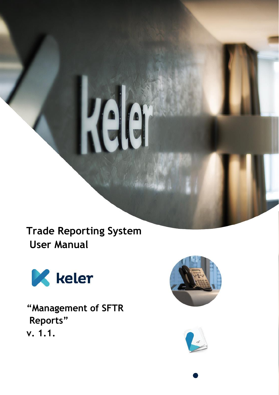**Trade Reporting System User Manual**



**"Management of SFTR Reports" v. 1.1.**



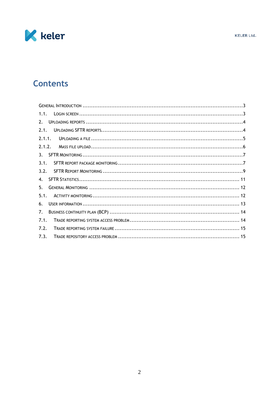

# **Contents**

| 1.1.           |  |
|----------------|--|
| 2.             |  |
| 2.1.           |  |
| 2.1.1.         |  |
| 2.1.2.         |  |
| 3.             |  |
| 3.1.           |  |
| 3.2.           |  |
| $\mathbf{4}$ . |  |
| 5.             |  |
| 5.1.           |  |
| 6.             |  |
| 7.             |  |
| 7.1.           |  |
| 7.2.           |  |
| 7.3.           |  |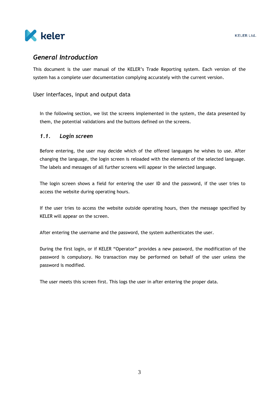

### <span id="page-2-0"></span>*General Introduction*

This document is the user manual of the KELER's Trade Reporting system. Each version of the system has a complete user documentation complying accurately with the current version.

#### User interfaces, input and output data

In the following section, we list the screens implemented in the system, the data presented by them, the potential validations and the buttons defined on the screens.

#### <span id="page-2-1"></span>*1.1. Login screen*

Before entering, the user may decide which of the offered languages he wishes to use. After changing the language, the login screen is reloaded with the elements of the selected language. The labels and messages of all further screens will appear in the selected language.

The login screen shows a field for entering the user ID and the password, if the user tries to access the website during operating hours.

If the user tries to access the website outside operating hours, then the message specified by KELER will appear on the screen.

After entering the username and the password, the system authenticates the user.

During the first login, or if KELER "Operator" provides a new password, the modification of the password is compulsory. No transaction may be performed on behalf of the user unless the password is modified.

The user meets this screen first. This logs the user in after entering the proper data.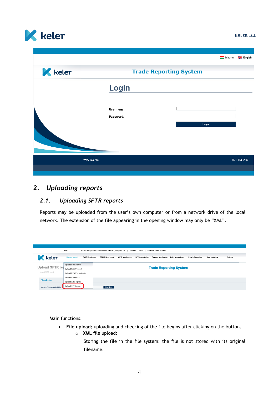

|                |                    |                               |       | Magyar | <b>AR</b> English |
|----------------|--------------------|-------------------------------|-------|--------|-------------------|
|                |                    |                               |       |        |                   |
| <b>K</b> keler |                    | <b>Trade Reporting System</b> |       |        |                   |
|                | Login<br>Username: |                               |       |        |                   |
|                | Password:          |                               | Login |        |                   |
|                |                    |                               |       |        |                   |
| www.keler.hu   |                    |                               |       |        | +36 1 483-6100    |
|                |                    |                               |       |        |                   |

### <span id="page-3-0"></span>*2. Uploading reports*

#### <span id="page-3-1"></span>*2.1. Uploading SFTR reports*

Reports may be uploaded from the user's own computer or from a network drive of the local network. The extension of the file appearing in the opening window may only be "XML".

| Client: Központi Elszámolóház és Értéktár (Budapest) Zrt.<br>User:<br>Time lock: 49:55<br>Version: TREP.073.KEL |                                                |                                                                                                                                                                                              |  |  |  |  |  |  |  |  |
|-----------------------------------------------------------------------------------------------------------------|------------------------------------------------|----------------------------------------------------------------------------------------------------------------------------------------------------------------------------------------------|--|--|--|--|--|--|--|--|
| keler                                                                                                           | <b>Upload report</b><br><b>EMIR Monitoring</b> | <b>MIFID Monitoring</b><br><b>SFTR</b> monitoring<br><b>REMIT Monitoring</b><br><b>Daily inspections</b><br>Options<br><b>General Monitoring</b><br><b>User information</b><br>Fee analytics |  |  |  |  |  |  |  |  |
|                                                                                                                 | <b>Upload EMIR report</b>                      | <b>Trade Reporting System</b>                                                                                                                                                                |  |  |  |  |  |  |  |  |
| Upload SFTR rej                                                                                                 | <b>Upload REMIT report</b>                     |                                                                                                                                                                                              |  |  |  |  |  |  |  |  |
| Upload SFTR report                                                                                              | <b>Upload REMIT report data</b>                |                                                                                                                                                                                              |  |  |  |  |  |  |  |  |
|                                                                                                                 | <b>Upload APA report</b>                       |                                                                                                                                                                                              |  |  |  |  |  |  |  |  |
| <b>File selection</b>                                                                                           | <b>Upload ARM report</b>                       |                                                                                                                                                                                              |  |  |  |  |  |  |  |  |
| Name of the selected file:                                                                                      | <b>Upload SFTR report</b>                      | Browsing                                                                                                                                                                                     |  |  |  |  |  |  |  |  |

Main functions:

- **File upload:** uploading and checking of the file begins after clicking on the button.
	- o **XML** file upload:
		- Storing the file in the file system: the file is not stored with its original filename.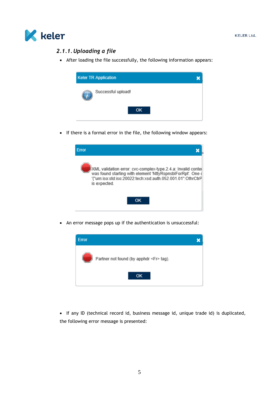<span id="page-4-0"></span>

#### *2.1.1.Uploading a file*

• After loading the file successfully, the following information appears:



• If there is a formal error in the file, the following window appears:



An error message pops up if the authentication is unsuccessful:



 If any ID (technical record id, business message id, unique trade id) is duplicated, the following error message is presented: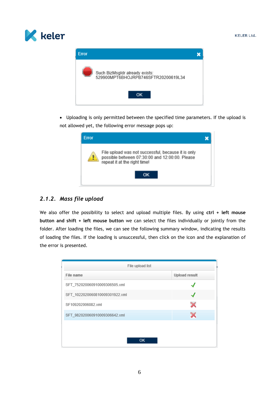



 Uploading is only permitted between the specified time parameters. If the upload is not allowed yet, the following error message pops up:

| <b>Error</b> |                                                                                                                                      |  |
|--------------|--------------------------------------------------------------------------------------------------------------------------------------|--|
|              | File upload was not successful, because it is only<br>possible between 07:30:00 and 12:00:00. Please<br>repeat it at the right time! |  |
|              | ΩК                                                                                                                                   |  |

### <span id="page-5-0"></span>*2.1.2. Mass file upload*

We also offer the possibility to select and upload multiple files. By using **ctrl + left mouse button and shift + left mouse button** we can select the files individually or jointly from the folder. After loading the files, we can see the following summary window, indicating the results of loading the files. If the loading is unsuccessful, then click on the icon and the explanation of the error is presented.

| File name                      |                      |
|--------------------------------|----------------------|
|                                | <b>Upload result</b> |
| SFT_752020060910009306505.xml  |                      |
| SFT_1022020060810009301922.xml |                      |
| SF109202006082.xml             | x                    |
| SFT 982020060910009306642.xml  | ×                    |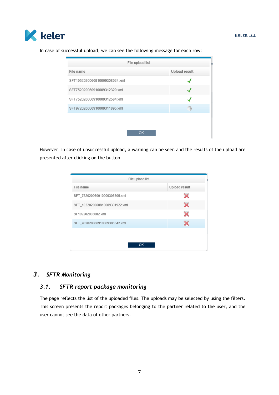

File upload list File name Upload result SFT1052020060910009308024.xml ┙ SFT752020060910009312320.xml √ SFT752020060910009312584.xml √ SFT972020060910009311895.xml 訾 OK

In case of successful upload, we can see the following message for each row:

However, in case of unsuccessful upload, a warning can be seen and the results of the upload are presented after clicking on the button.

| <b>Upload result</b>  |
|-----------------------|
| ×                     |
| $\boldsymbol{\times}$ |
| $\boldsymbol{\times}$ |
| x                     |
|                       |
|                       |
|                       |

### <span id="page-6-1"></span><span id="page-6-0"></span>*3. SFTR Monitoring*

### *3.1. SFTR report package monitoring*

The page reflects the list of the uploaded files. The uploads may be selected by using the filters. This screen presents the report packages belonging to the partner related to the user, and the user cannot see the data of other partners.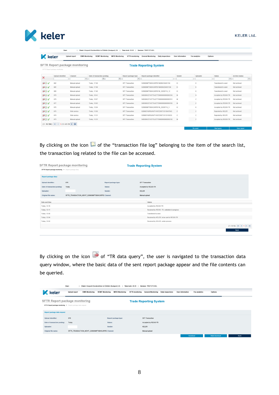|  | keler |
|--|-------|
|--|-------|

|                                                                                                   | User:                               |                                                | Client: Központi Elszámolóház és Értéktár (Budapest) Zrt. | Time lock: 50:00       | Version: TREP.073 KEL                                 |                                         |                          |                      |                     |
|---------------------------------------------------------------------------------------------------|-------------------------------------|------------------------------------------------|-----------------------------------------------------------|------------------------|-------------------------------------------------------|-----------------------------------------|--------------------------|----------------------|---------------------|
| <b>K</b> keler                                                                                    |                                     | <b>Upload report</b><br><b>EMIR Monitoring</b> | <b>REMIT Monitoring</b><br><b>MIFID Monitoring</b>        | <b>SFTR</b> monitoring | <b>General Monitoring</b><br><b>Daily inspections</b> | <b>User information</b>                 | Options<br>Fee analytics |                      |                     |
| SFTR Report package monitoring<br><b>Trade Reporting System</b><br>SFTR Report package monitoring |                                     |                                                |                                                           |                        |                                                       |                                         |                          |                      |                     |
| $\boldsymbol{\mathsf{x}}$                                                                         | Upload identifier                   | Channel                                        | Date of transaction posting                               | Report package type    | Report package identifier                             | Sender                                  | Uploader                 | <b>Status</b>        | Archive status      |
|                                                                                                   |                                     | $\overline{\phantom{a}}$                       | 面<br>節                                                    | $\check{}$             |                                                       |                                         |                          | $\mathbf{v}$         | $\vert \cdot \vert$ |
| <b>DIV</b>                                                                                        | 682                                 | Manual upload                                  | Today, 17:49                                              | SFT Transaction        | 529900MPT6BHOJRPB746080230401158                      | К                                       | К                        | Transferred to send  | Not archived        |
| <b>DIV</b>                                                                                        | 681                                 | Manual upload                                  | Today, 17:49                                              | <b>SFT Transaction</b> | 529900MPT6BHOJRPB7460000230401158                     | К                                       | $\mathsf{K}$             | Transferred to send  | Not archived        |
| ∍∐√                                                                                               | 680                                 | Manual upload                                  | Today, 17:46                                              | SFT Transaction        | 529900MPT6BHOJRPB746 20200714 12                      | K                                       | К                        | Transferred to send  | Not archived        |
| <b>BLV</b>                                                                                        | 679                                 | Manual upload                                  | Today, 16:41                                              | SFT Transaction        | 549300KCFVCFTUJZYT59000000000000154                   | M                                       | N                        | Accepted by REGIS-TR | Not archived        |
| ∍⊡√                                                                                               | 678                                 | Manual upload                                  | Today, 15:07                                              | SFT Transaction        | 549300KCFVCFTUJZYT59000000000000151                   | M                                       | z                        | Accepted by REGIS-TR | Not archived        |
| ⋻Шノ                                                                                               | 677                                 | Manual upload                                  | Today, 15:02                                              | SFT Transaction        | 549300KCFVCFTUJZYT59000000000000150                   | $\mathbb{R}^n \times \mathbb{R}^n$<br>M |                          | Accepted by REGIS-TR | Not archived        |
| ⋺Шノ                                                                                               | 676                                 | Manual upload                                  | Today, 13:04                                              | SFT Transaction        | 529900MPT6BHOJRPB746_20200714_3                       | К                                       | K                        | Accepted by REGIS-TR | Not archived        |
| ਿ⊡√                                                                                               | 675                                 | Web service                                    | Today, 11:56                                              | SFT Transaction        | 52990074UR5JKVFY4V57200713115647643                   | $_{\circ}$                              | $\mathbb{C}$             | Rejected by KELER    | Not archived        |
| ਿ⊡√                                                                                               | 674                                 | Web service                                    | Today, 11:31                                              | <b>SFT Transaction</b> | 52990074UR5JKVFY4V57200713113116533                   | $\circ$                                 | C                        | Rejected by KELER    | Not archived        |
| <b>BLV</b>                                                                                        | 673                                 | Manual upload                                  | Today, 11:23                                              | <b>SFT Transaction</b> | 549300KCFVCFTUJZYT59000000000000130                   | M                                       | z                        | Accepted by REGIS-TR | Not archived        |
|                                                                                                   | $[1 - 10/564]$ M 4 1 2 3 4 9 19 P M |                                                |                                                           |                        |                                                       |                                         | <b>Do-cond</b>           | <b>Start migru</b>   | <b>Mow ronort</b>   |

By clicking on the icon  $\Box$  of the "transaction file log" belonging to the item of the search list, the transaction log related to the file can be accessed.

| SFTR Report package monitoring                        |                                                   |                      | <b>Trade Reporting System</b> |                                               |                                                                                                               |  |
|-------------------------------------------------------|---------------------------------------------------|----------------------|-------------------------------|-----------------------------------------------|---------------------------------------------------------------------------------------------------------------|--|
| SFTR Report package monitoring > Report package diary |                                                   |                      |                               |                                               |                                                                                                               |  |
| <b>Report package diary</b>                           |                                                   |                      |                               |                                               |                                                                                                               |  |
| Upload identifier:                                    | 676                                               | Report package type: | <b>SFT Transaction</b>        |                                               |                                                                                                               |  |
| Date of transaction posting:                          | Today                                             | Status:              | Accepted by REGIS-TR          |                                               |                                                                                                               |  |
| Uploader:                                             |                                                   | Sender:              | KELER                         |                                               |                                                                                                               |  |
| Original file name:                                   | SFTR_TRANSACTION_NEWT_529900MPT6BHOJRPB7 Channel: |                      | Manual upload                 |                                               |                                                                                                               |  |
| Date and time                                         |                                                   |                      |                               | <b>Status</b>                                 |                                                                                                               |  |
| Today, 13:16                                          |                                                   |                      |                               | Accepted by REGIS-TR                          |                                                                                                               |  |
| Today, 13:11                                          |                                                   |                      |                               | Received by REGIS- TR, validation in progress |                                                                                                               |  |
| Today, 13:04                                          |                                                   |                      |                               | Transferred to send                           |                                                                                                               |  |
| Today, 13:04                                          |                                                   |                      |                               | Received by KELER, to be sent to REGIS-TR     |                                                                                                               |  |
| Today, 13:04                                          |                                                   |                      |                               | Received by KELER, under process              |                                                                                                               |  |
|                                                       |                                                   |                      |                               |                                               | $[1-5/5] \quad \boxed{\mathsf{H}} \quad \boxed{\mathsf{d}} \quad \boxed{\mathsf{1}} \quad \boxed{\mathsf{M}}$ |  |
|                                                       |                                                   |                      |                               |                                               | Back                                                                                                          |  |

By clicking on the icon  $\Box$  of "TR data query", the user is navigated to the transaction data query window, where the basic data of the sent report package appear and the file contents can be queried.

| Client: Központi Elszámolóház és Értéktár (Budapest) Zrt.<br>Time lock: 49:28  <br>User:<br>Version: TREP.073.KEL               |                                                                           |                                                   |                                                       |                                          |                |      |  |  |  |  |
|---------------------------------------------------------------------------------------------------------------------------------|---------------------------------------------------------------------------|---------------------------------------------------|-------------------------------------------------------|------------------------------------------|----------------|------|--|--|--|--|
| keler                                                                                                                           | <b>Upload report</b><br><b>EMIR Monitoring</b><br><b>REMIT Monitoring</b> | <b>MIFID Monitoring</b><br><b>SFTR</b> monitoring | <b>Daily inspections</b><br><b>General Monitoring</b> | <b>User information</b><br>Fee analytics | Options        |      |  |  |  |  |
| SFTR Report package monitoring<br><b>Trade Reporting System</b><br>SFTR Report package monitoring > Report package data request |                                                                           |                                                   |                                                       |                                          |                |      |  |  |  |  |
| Report package data request                                                                                                     |                                                                           |                                                   |                                                       |                                          |                |      |  |  |  |  |
| Upload identifier:                                                                                                              | 676                                                                       | Report package type:                              | SFT Transaction                                       |                                          |                |      |  |  |  |  |
| Date of transaction posting:                                                                                                    | Today                                                                     | Status:                                           | Accepted by REGIS-TR                                  |                                          |                |      |  |  |  |  |
| Uploader:                                                                                                                       |                                                                           | Sender:                                           | KELER                                                 |                                          |                |      |  |  |  |  |
| Original file name:                                                                                                             | SFTR_TRANSACTION_NEWT_529900MPT6BHOJRPB7 Channel:                         |                                                   | Manual upload                                         |                                          |                |      |  |  |  |  |
|                                                                                                                                 |                                                                           |                                                   |                                                       | Download                                 | State download | Back |  |  |  |  |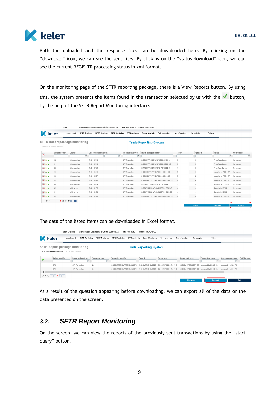

Both the uploaded and the response files can be downloaded here. By clicking on the "download" icon, we can see the sent files. By clicking on the "status download" icon, we can see the current REGIS-TR processing status in xml format.

On the monitoring page of the SFTR reporting package, there is a View Reports button. By using this, the system presents the items found in the transaction selected by us with the  $\checkmark$  button, by the help of the SFTR Report Monitoring interface.

| <b>K</b> keler                                                                                           | User:                               | <b>Upload report</b><br><b>EMIR Monitoring</b> | Client: Központi Elszámolóház és Értéktár (Budapest) Zrt.<br><b>REMIT Monitoring</b><br><b>MIFID Monitoring</b> | Time lock: 50:00  <br>SFTR monitoring | Version: TREP.073.KEL<br><b>General Monitoring</b><br><b>Daily inspections</b> | <b>User information</b> | Fee analytics | Options              |                |
|----------------------------------------------------------------------------------------------------------|-------------------------------------|------------------------------------------------|-----------------------------------------------------------------------------------------------------------------|---------------------------------------|--------------------------------------------------------------------------------|-------------------------|---------------|----------------------|----------------|
| <b>SFTR Report package monitoring</b><br><b>Trade Reporting System</b><br>SFTR Report package monitoring |                                     |                                                |                                                                                                                 |                                       |                                                                                |                         |               |                      |                |
| ×                                                                                                        | Upload identifier                   | Channel                                        | Date of transaction posting                                                                                     | Report package type                   | Report package identifier                                                      | Sender                  | Uploader      | <b>Status</b>        | Archive status |
|                                                                                                          |                                     | $\vert \cdot \vert$                            | 面                                                                                                               | 面<br>l ÷                              |                                                                                |                         |               | I÷.                  | $\mathbf{r}$   |
| D-                                                                                                       | 682                                 | Manual upload                                  | Today, 17:49                                                                                                    | SFT Transaction                       | 529900MPT6BHOJRPB746080230401158                                               | KI                      | K             | Transferred to send  | Not archived   |
| <b>BLV</b>                                                                                               | 681                                 | Manual upload                                  | Today, 17:49                                                                                                    | <b>SFT Transaction</b>                | 529900MPT6BHOJRPB7460000230401158                                              | K                       | $\mathsf{K}$  | Transferred to send  | Not archived   |
| DU.                                                                                                      | 680                                 | Manual upload                                  | Today, 17:46                                                                                                    | SFT Transaction                       | 529900MPT6BHOJRPB746 20200714 12                                               | К                       | К             | Transferred to send  | Not archived   |
| <b>BLV</b>                                                                                               | 679                                 | Manual upload                                  | Today, 16:41                                                                                                    | SFT Transaction                       | 549300KCFVCFTUJZYT59000000000000154                                            | M                       | N             | Accepted by REGIS-TR | Not archived   |
| r II                                                                                                     | 678                                 | Manual upload                                  | Today, 15:07                                                                                                    | SFT Transaction                       | 549300KCFVCFTUJZYT5900000000000151                                             | M                       | z             | Accepted by REGIS-TR | Not archived   |
| ∍∐√                                                                                                      | 677                                 | Manual upload                                  | Today, 15:02                                                                                                    | SFT Transaction                       | 549300KCFVCFTUJZYT59000000000000150                                            | M                       | z             | Accepted by REGIS-TR | Not archived   |
| ∍∐√                                                                                                      | 676                                 | Manual upload                                  | Today, 13:04                                                                                                    | SFT Transaction                       | 529900MPT6BHOJRPB746 20200714 3                                                | K                       | К             | Accepted by REGIS-TR | Not archived   |
| $\rightarrow \Box$                                                                                       | 675                                 | Web service                                    | Today, 11:56                                                                                                    | <b>SFT Transaction</b>                | 52990074UR5JKVFY4V57200713115647643                                            | $\circ$                 | $\mathbb C$   | Rejected by KELER    | Not archived   |
| <b>DI</b>                                                                                                | 674                                 | Web service                                    | Today, 11:31                                                                                                    | <b>SFT Transaction</b>                | 52990074UR5JKVFY4V57200713113116533                                            | $\circ$                 | $\mathcal{C}$ | Rejected by KELER    | Not archived   |
| <b>BLV</b>                                                                                               | 673                                 | Manual upload                                  | Today, 11:23                                                                                                    | <b>SFT Transaction</b>                | 549300KCFVCFTUJZYT59000000000000130                                            | M                       | z             | Accepted by REGIS-TR | Not archived   |
|                                                                                                          | $[1 - 10/564]$ M 4 1 2 3 4 9 19 P M |                                                |                                                                                                                 |                                       |                                                                                |                         |               |                      |                |
|                                                                                                          |                                     |                                                |                                                                                                                 |                                       |                                                                                |                         | Re-send       | Start query          | View report    |

The data of the listed items can be downloaded in Excel format.

| Client: Központi Elszámolóház és Értéktár (Budapest) Zrt.<br>User: Kircsi Ilona<br>Time lock: 49:52<br>Version: TREP.073.KEL      |                                                                                                               |                                                 |                              |                                                                        |                           |                      |                                          |                                                       |                                                   |                |
|-----------------------------------------------------------------------------------------------------------------------------------|---------------------------------------------------------------------------------------------------------------|-------------------------------------------------|------------------------------|------------------------------------------------------------------------|---------------------------|----------------------|------------------------------------------|-------------------------------------------------------|---------------------------------------------------|----------------|
|                                                                                                                                   | keler                                                                                                         | <b>EMIR Monitoring</b><br><b>Upload report</b>  | <b>REMIT Monitoring</b>      | <b>MIFID Monitoring</b><br><b>SFTR</b> monitoring                      | <b>General Monitoring</b> | Daily inspections    | <b>User information</b><br>Fee analytics | Options                                               |                                                   |                |
| <b>SFTR Report package monitoring</b><br><b>Trade Reporting System</b><br>SFTR Report package monitoring > SFTR Report monitoring |                                                                                                               |                                                 |                              |                                                                        |                           |                      |                                          |                                                       |                                                   |                |
| ÷                                                                                                                                 | Upload identifier                                                                                             | Report package type<br>$\overline{\phantom{a}}$ | <b>Transaction type</b><br>٠ | <b>Transaction identifier</b>                                          | Trade Id                  | Partner code         | Counterparty code                        | <b>Transaction status</b><br>$\overline{\phantom{a}}$ | Report package status<br>$\overline{\phantom{a}}$ | Portfolio code |
|                                                                                                                                   | 676                                                                                                           | SFT Transaction                                 | New                          | 529900MPT6BHOJRPB746 20200713 529900MPT6BHOJRPB7-                      |                           | 529900MPT6BHOJRPB746 | 529900MHIW6Z8OTOAH28                     | Accepted by REGIS-TR                                  | Accepted by REGIS-TR                              |                |
| ≺                                                                                                                                 | 676                                                                                                           | SFT Transaction                                 | New                          | 529900MPT6BHOJRPB746 20200713 529900MPT6BHOJRPB7- 529900MPT6BHOJRPB746 |                           |                      | 529900MHIW6Z8OTOAH28                     | Accepted by REGIS-TR                                  | Accepted by REGIS-TR                              |                |
|                                                                                                                                   | $[1-2/2] \quad \boxed{\mathsf{M}} \quad \boxed{\mathsf{M}} \quad \boxed{\mathsf{1}} \quad \boxed{\mathsf{I}}$ |                                                 |                              |                                                                        |                           |                      |                                          |                                                       |                                                   |                |
|                                                                                                                                   |                                                                                                               |                                                 |                              |                                                                        |                           |                      | <b>Start query</b>                       | Download                                              |                                                   | Back           |

As a result of the question appearing before downloading, we can export all of the data or the data presented on the screen.

### <span id="page-8-0"></span>*3.2. SFTR Report Monitoring*

On the screen, we can view the reports of the previously sent transactions by using the "start query" button.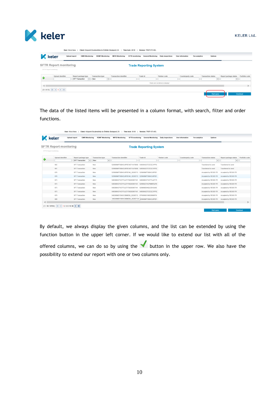

|                              |                                 | User: Kircsi Ilona                                            | Client: Központi Elszámolóház és Értéktár (Budapest) Zrt. |                               | Time lock: 49:56       | Version: TREP.073.KEL         |                                |                         |               |                                                       |                             |                |
|------------------------------|---------------------------------|---------------------------------------------------------------|-----------------------------------------------------------|-------------------------------|------------------------|-------------------------------|--------------------------------|-------------------------|---------------|-------------------------------------------------------|-----------------------------|----------------|
| K                            | keler                           | <b>Upload report</b><br><b>EMIR Monitoring</b>                | <b>REMIT Monitoring</b>                                   | <b>MIFID Monitoring</b>       | <b>SFTR</b> monitoring | <b>General Monitoring</b>     | Daily inspections              | <b>User information</b> | Fee analytics | Options                                               |                             |                |
| SFTR Report monitoring       | <b>SFTR Report monitoring</b>   |                                                               |                                                           |                               |                        | <b>Trade Reporting System</b> |                                |                         |               |                                                       |                             |                |
| 57                           | Upload identifier               | Report package type<br><b>SFT Transaction</b><br>$\mathbf{v}$ | <b>Transaction type</b><br>New<br>$\blacksquare$          | <b>Transaction identifier</b> |                        | Trade Id                      | Partner code                   | Counterparty code       |               | <b>Transaction status</b><br>$\overline{\phantom{a}}$ | Report package status<br>٠. | Portfolio code |
| $\left\langle \right\rangle$ |                                 |                                                               |                                                           |                               |                        |                               | There are no items to display! |                         |               |                                                       |                             |                |
|                              | $[0 - 0/0]$ $H$ $4$ $1$ $F$ $H$ |                                                               |                                                           |                               |                        |                               |                                |                         |               | Start query                                           |                             | Download       |

The data of the listed items will be presented in a column format, with search, filter and order functions.

|                        | User: Kircsi Ilona                                                                           |                                                          |                                                            | Client: Központi Elszámolóház és Értéktár (Budapest) Zrt.   Time lock: 50:00   Version: TREP.073.KEL |                               |                          |                                          |                                                    |                                                   |                |
|------------------------|----------------------------------------------------------------------------------------------|----------------------------------------------------------|------------------------------------------------------------|------------------------------------------------------------------------------------------------------|-------------------------------|--------------------------|------------------------------------------|----------------------------------------------------|---------------------------------------------------|----------------|
|                        | keler                                                                                        | <b>Upload report</b><br><b>EMIR Monitoring</b>           | <b>REMIT Monitoring</b>                                    | <b>MIFID Monitoring</b><br><b>SFTR</b> monitoring                                                    | <b>General Monitoring</b>     | <b>Daily inspections</b> | Fee analytics<br><b>User information</b> | Options                                            |                                                   |                |
| SFTR Report monitoring | <b>SFTR Report monitoring</b>                                                                |                                                          |                                                            |                                                                                                      | <b>Trade Reporting System</b> |                          |                                          |                                                    |                                                   |                |
|                        | Upload identifier                                                                            | Report package type<br><b>SFT Transaction</b><br>$\cdot$ | <b>Transaction type</b><br>New<br>$\overline{\phantom{a}}$ | <b>Transaction identifier</b>                                                                        | Trade Id                      | Partner code             | Counterparty code                        | <b>Transaction status</b><br>$\check{\phantom{a}}$ | Report package status<br>$\overline{\phantom{a}}$ | Portfolio code |
|                        | 682                                                                                          | <b>SFT Transaction</b>                                   | New                                                        | 529900MPT6BHOJRPB746711478658 549300423T3ZCEZ1PP02                                                   |                               |                          |                                          | Transferred to send                                | Transferred to send                               |                |
|                        | 681                                                                                          | SFT Transaction                                          | New                                                        | 529900MPT6BHOJRPB746711470658 549300423T3ZCEZ1PP02                                                   |                               |                          |                                          | Transferred to send                                | Transferred to send                               |                |
|                        | 676                                                                                          | <b>SFT Transaction</b>                                   | New                                                        | 529900MPT6BHOJRPB746 20200713 529900MPT6BHOJRPB7-                                                    |                               |                          |                                          | Accepted by REGIS-TR                               | Accepted by REGIS-TR                              |                |
|                        | 676                                                                                          | <b>SFT Transaction</b>                                   | New                                                        | 529900MPT6BHOJRPB746 20200713 529900MPT6BHOJRPB7-                                                    |                               |                          |                                          | Accepted by REGIS-TR                               | Accepted by REGIS-TR                              |                |
|                        | 673                                                                                          | SFT Transaction                                          | New                                                        | 549300KCFVCFTUJZYT59202007141   549300KCFVCFTUJZYT5                                                  |                               |                          |                                          | Accepted by REGIS-TR                               | Accepted by REGIS-TR                              |                |
|                        | 673                                                                                          | <b>SFT Transaction</b>                                   | New                                                        | 549300KCFVCFTUJZYT59202007141: 529900ZI7XUPMMT8JF9                                                   |                               |                          |                                          | Accepted by REGIS-TR                               | Accepted by REGIS-TR                              |                |
|                        | 673                                                                                          | SFT Transaction                                          | New                                                        | 549300KCFVCFTUJZYT59202007141; 5299008DH62LEB10JK8?                                                  |                               |                          |                                          | Accepted by REGIS-TR                               | Accepted by REGIS-TR                              |                |
|                        | 673                                                                                          | SFT Transaction                                          | New                                                        | 549300KCFVCFTUJZYT59202007141; 549300423T3ZCEZ1PP0;                                                  |                               |                          |                                          | Accepted by REGIS-TR                               | Accepted by REGIS-TR                              |                |
|                        | 670                                                                                          | <b>SFT Transaction</b>                                   | New                                                        | 549300MSY5NIVC0BME80_20200713 EPK00002106529900FD(                                                   |                               |                          |                                          | Accepted by REGIS-TR                               | Accepted by REGIS-TR                              |                |
|                        | 669                                                                                          | <b>SFT Transaction</b>                                   | New                                                        | 549300MSY5NIVC0BME80_202007134 \$29900MPT6BHOJRPB7-                                                  |                               |                          |                                          | Accepted by REGIS-TR                               | Accepted by REGIS-TR                              |                |
| ◟                      |                                                                                              |                                                          |                                                            |                                                                                                      |                               |                          |                                          |                                                    |                                                   | $\rightarrow$  |
|                        | $[1 - 10 / 10736]$ $\overline{H}$ $\overline{4}$ 1 2 3 8 18 68 $\overline{H}$ $\overline{H}$ |                                                          |                                                            |                                                                                                      |                               |                          |                                          |                                                    |                                                   |                |
|                        |                                                                                              |                                                          |                                                            |                                                                                                      |                               |                          |                                          | Start query                                        |                                                   | Download       |

By default, we always display the given columns, and the list can be extended by using the function button in the upper left corner. If we would like to extend our list with all of the offered columns, we can do so by using the  $\blacktriangledown$  button in the upper row. We also have the possibility to extend our report with one or two columns only.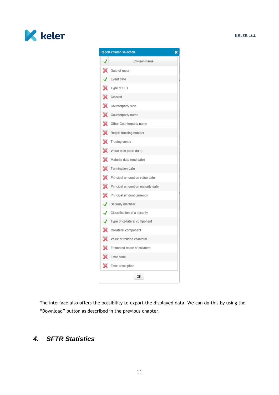

| <b>Report column selection</b><br>× |                                   |  |  |  |  |  |  |  |
|-------------------------------------|-----------------------------------|--|--|--|--|--|--|--|
|                                     | Column name                       |  |  |  |  |  |  |  |
|                                     | Date of report                    |  |  |  |  |  |  |  |
|                                     | Event date                        |  |  |  |  |  |  |  |
|                                     | Type of SFT                       |  |  |  |  |  |  |  |
|                                     | Cleared                           |  |  |  |  |  |  |  |
| ×                                   | Counterparty side                 |  |  |  |  |  |  |  |
|                                     | Counterparty name                 |  |  |  |  |  |  |  |
| X                                   | Other Counterparty name           |  |  |  |  |  |  |  |
|                                     | Report tracking number            |  |  |  |  |  |  |  |
| X                                   | Trading venue                     |  |  |  |  |  |  |  |
| X                                   | Value date (start date)           |  |  |  |  |  |  |  |
|                                     | Maturity date (end date)          |  |  |  |  |  |  |  |
| ×                                   | Termination date                  |  |  |  |  |  |  |  |
| ×                                   | Principal amount on value date    |  |  |  |  |  |  |  |
|                                     | Principal amount on maturity date |  |  |  |  |  |  |  |
| ×                                   | Principal amount currency         |  |  |  |  |  |  |  |
| ı                                   | Security identifier               |  |  |  |  |  |  |  |
| √                                   | Classification of a security      |  |  |  |  |  |  |  |
|                                     | Type of collateral component      |  |  |  |  |  |  |  |
| Х                                   | Collateral component              |  |  |  |  |  |  |  |
|                                     | Value of reused collateral        |  |  |  |  |  |  |  |
|                                     | Estimated reuse of collateral     |  |  |  |  |  |  |  |
|                                     | Error code                        |  |  |  |  |  |  |  |
|                                     | Error description                 |  |  |  |  |  |  |  |
|                                     | ОΚ                                |  |  |  |  |  |  |  |

The interface also offers the possibility to export the displayed data. We can do this by using the "Download" button as described in the previous chapter.

## <span id="page-10-0"></span>*4. SFTR Statistics*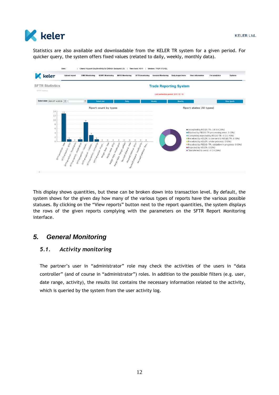

Statistics are also available and downloadable from the KELER TR system for a given period. For quicker query, the system offers fixed values (related to daily, weekly, monthly data).



This display shows quantities, but these can be broken down into transaction level. By default, the system shows for the given day how many of the various types of reports have the various possible statuses. By clicking on the "View reports" button next to the report quantities, the system displays the rows of the given reports complying with the parameters on the SFTR Report Monitoring interface.

### <span id="page-11-1"></span><span id="page-11-0"></span>*5. General Monitoring*

#### *5.1. Activity monitoring*

The partner's user in "administrator" role may check the activities of the users in "data controller" (and of course in "administrator") roles. In addition to the possible filters (e.g. user, date range, activity), the results list contains the necessary information related to the activity, which is queried by the system from the user activity log.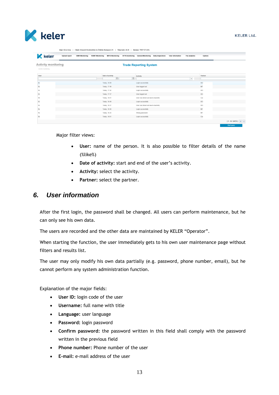

|                                                   | User: Kircsi Ilona   |                        |                         | Client: Központi Elszámolóház és Értéktár (Budapest) Zrt.   Time lock: 48:45   Version: TREP.073.KEL |                        |                                             |                         |                          |         |                                                               |
|---------------------------------------------------|----------------------|------------------------|-------------------------|------------------------------------------------------------------------------------------------------|------------------------|---------------------------------------------|-------------------------|--------------------------|---------|---------------------------------------------------------------|
| <b>K</b> keler                                    | <b>Upload report</b> | <b>EMIR Monitoring</b> | <b>REMIT Monitoring</b> | <b>MIFID Monitoring</b>                                                                              | <b>SFTR</b> monitoring | <b>General Monitoring Daily inspections</b> | <b>User information</b> | Fee analytics            | Options |                                                               |
| <b>Activity monitoring</b><br>Activity monitoring |                      |                        |                         |                                                                                                      |                        | <b>Trade Reporting System</b>               |                         |                          |         |                                                               |
| User                                              |                      |                        |                         | Date of activity<br>面                                                                                | 面                      | Activity                                    |                         | $\overline{\phantom{a}}$ | Partner |                                                               |
| Ba                                                |                      |                        |                         | Today, 18:59                                                                                         |                        | Login successfully                          |                         |                          | KEI     |                                                               |
| Nε                                                |                      |                        |                         | Today, 17:49                                                                                         |                        | User logged out                             |                         |                          | MF      |                                                               |
| Ю                                                 |                      |                        |                         | Today, 17:42                                                                                         |                        | Login successfully                          |                         |                          | KEI     |                                                               |
| Ki                                                |                      |                        |                         | Today, 17:37                                                                                         |                        | User logged out                             |                         |                          | KEI     |                                                               |
| Né                                                |                      |                        |                         | Today, 16:51                                                                                         |                        | User was timed out due to inactivity        |                         |                          | Cor     |                                                               |
| KI                                                |                      |                        |                         | Today, 16:49                                                                                         |                        | Login successfully                          |                         |                          | KEI     |                                                               |
| Ki                                                |                      |                        |                         | Today, 16:37                                                                                         |                        | User was timed out due to inactivity        |                         |                          | KEI     |                                                               |
| Na                                                |                      |                        |                         | Today, 16:36                                                                                         |                        | Login successfully                          |                         |                          | MF      |                                                               |
| N                                                 |                      |                        |                         | Today, 16:35                                                                                         |                        | Wrong password                              |                         |                          | MF      |                                                               |
| N                                                 |                      |                        |                         | Today, 16:01                                                                                         |                        | Login successfully                          |                         |                          | Cor     |                                                               |
|                                                   |                      |                        |                         |                                                                                                      |                        |                                             |                         |                          |         | $[1 - 10/34721]$ $\overline{H}$ $\overline{4}$<br>Start query |

Major filter views:

- **User:** name of the person. It is also possible to filter details of the name (%like%)
- **Date of activity:** start and end of the user's activity.
- **Activity:** select the activity.
- **Partner:** select the partner.

### <span id="page-12-0"></span>*6. User information*

After the first login, the password shall be changed. All users can perform maintenance, but he can only see his own data.

The users are recorded and the other data are maintained by KELER "Operator".

When starting the function, the user immediately gets to his own user maintenance page without filters and results list.

The user may only modify his own data partially (e.g. password, phone number, email), but he cannot perform any system administration function.

Explanation of the major fields:

- **User ID:** login code of the user
- **Username:** full name with title
- **Language:** user language
- **Password:** login password
- **Confirm password:** the password written in this field shall comply with the password written in the previous field
- **Phone number:** Phone number of the user
- **E-mail:** e-mail address of the user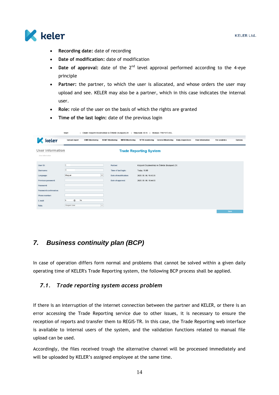

- **Recording date:** date of recording
- **Date of modification:** date of modification
- Date of approval: date of the 2<sup>nd</sup> level approval performed according to the 4-eye principle
- **Partner:** the partner, to which the user is allocated, and whose orders the user may upload and see. KELER may also be a partner, which in this case indicates the internal user.
- **Role:** role of the user on the basis of which the rights are granted
- **Time of the last login:** date of the previous login

|                                                                                                                                      | User:                                                                           | Client: Központi Elszámolóház és Értéktár (Budapest) Zrt.                     | Time lock: 49:45<br>Version: TREP.073.KEL                                                                             |                                                     |                          |
|--------------------------------------------------------------------------------------------------------------------------------------|---------------------------------------------------------------------------------|-------------------------------------------------------------------------------|-----------------------------------------------------------------------------------------------------------------------|-----------------------------------------------------|--------------------------|
| <b>K</b> keler                                                                                                                       | <b>Upload report</b><br><b>EMIR Monitoring</b>                                  | <b>REMIT Monitoring</b><br><b>MIFID Monitoring</b>                            | <b>SFTR</b> monitoring<br><b>General Monitoring</b>                                                                   | <b>Daily inspections</b><br><b>User information</b> | Options<br>Fee analytics |
| User information<br>User information                                                                                                 |                                                                                 |                                                                               | <b>Trade Reporting System</b>                                                                                         |                                                     |                          |
| User ID:<br>Username:<br>Language:<br>Previous password:<br>Password:<br>Password confirmation:<br>Phone number:<br>E-mail:<br>Role: | k<br>K<br>Magyar<br>$\checkmark$<br>@<br>hu<br>k<br>Szuper User<br>$\mathbf{v}$ | Partner:<br>Time of last login:<br>Date of modification:<br>Date of approval: | Központi Elszámolóház és Értéktár (Budapest) Zrt.<br>Today, 16:49<br>2020. 05. 06. 16:43:25<br>2020. 05. 06. 16:44:03 |                                                     |                          |
|                                                                                                                                      |                                                                                 |                                                                               |                                                                                                                       |                                                     | Save                     |

### <span id="page-13-0"></span>*7. Business continuity plan (BCP)*

In case of operation differs form normal and problems that cannot be solved within a given daily operating time of KELER's Trade Reporting system, the following BCP process shall be applied.

#### <span id="page-13-1"></span>*7.1. Trade reporting system access problem*

If there is an interruption of the internet connection between the partner and KELER, or there is an error accessing the Trade Reporting service due to other issues, it is necessary to ensure the reception of reports and transfer them to REGIS-TR. In this case, the Trade Reporting web interface is available to internal users of the system, and the validation functions related to manual file upload can be used.

Accordingly, the files received trough the alternative channel will be processed immediately and will be uploaded by KELER's assigned employee at the same time.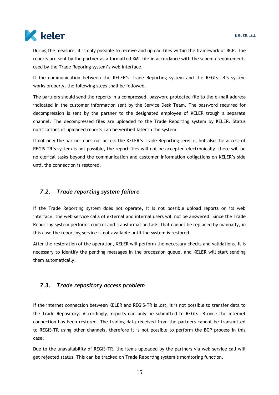

During the measure, it is only possible to receive and upload files within the framework of BCP. The reports are sent by the partner as a formatted XML file in accordance with the schema requirements used by the Trade Reporing system's web interface.

If the communication between the KELER's Trade Reporting system and the REGIS-TR's system works properly, the following steps shall be followed.

The partners should send the reports in a compressed, password protected file to the e-mail address indicated in the customer information sent by the Service Desk Team. The password required for decompression is sent by the partner to the designated employee of KELER trough a separate channel. The decompressed files are uploaded to the Trade Reporting system by KELER. Status notifications of uploaded reports can be verified later in the system.

If not only the partner does not access the KELER's Trade Reporting service, but also the access of REGIS-TR's system is not possible, the report files will not be accepted electronically, there will be no clerical tasks beyond the communication and customer information obligations on KELER's side until the connection is restored.

#### <span id="page-14-0"></span>*7.2. Trade reporting system failure*

If the Trade Reporting system does not operate, it is not possible upload reports on its web interface, the web service calls of external and internal users will not be answered. Since the Trade Reporting system performs control and transformation tasks that cannot be replaced by manually, in this case the reporting service is not available until the system is restored.

After the restoration of the operation, KELER will perform the necessary checks and validations. It is necessary to identify the pending messages in the procession queue, and KELER will start sending them automatically.

#### <span id="page-14-1"></span>*7.3. Trade repository access problem*

If the internet connection between KELER and REGIS-TR is lost, it is not possible to transfer data to the Trade Repository. Accordingly, reports can only be submitted to REGIS-TR once the internet connection has been restored. The trading data received from the partners cannot be transmitted to REGIS-TR using other channels, therefore it is not possible to perform the BCP process in this case.

Due to the unavailability of REGIS-TR, the items uploaded by the partners via web service call will get rejected status. This can be tracked on Trade Reporting system's monitoring function.